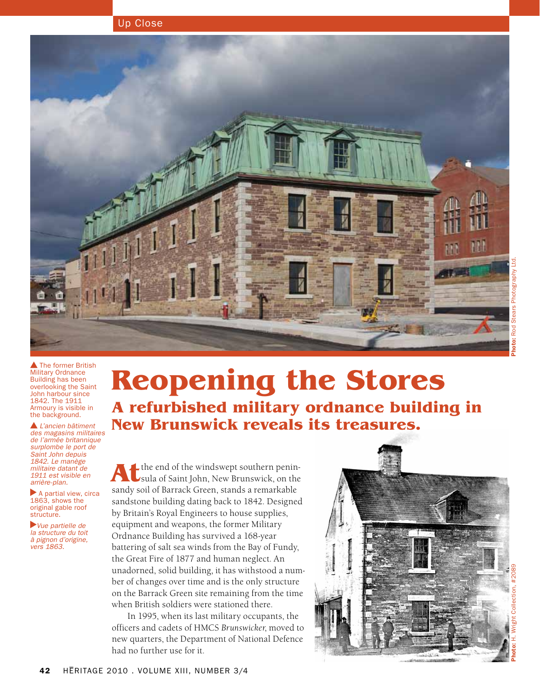



The former British Military Ordnance Building has been overlooking the Saint John harbour since 1842. The 1911 Armoury is visible in the background.

 *L'ancien bâtiment des magasins militaires de l'armée britannique surplombe le port de Saint John depuis 1842. Le manège militaire datant de 1911 est visible en arrière-plan.*

 $\blacktriangleright$  A partial view, circa 1863, shows the original gable roof structure.

*Vue partielle de la structure du toit à pignon d'origine, vers 1863.*

# **Reopening the Stores A refurbished military ordnance building in New Brunswick reveals its treasures.**

Athe end of the windswept southern penin-<br>sula of Saint John, New Brunswick, on the sandy soil of Barrack Green, stands a remarkable sandstone building dating back to 1842. Designed by Britain's Royal Engineers to house supplies, equipment and weapons, the former Military Ordnance Building has survived a 168-year battering of salt sea winds from the Bay of Fundy, the Great Fire of 1877 and human neglect. An unadorned, solid building, it has withstood a number of changes over time and is the only structure on the Barrack Green site remaining from the time when British soldiers were stationed there.

In 1995, when its last military occupants, the officers and cadets of HMCS *Brunswicker*, moved to new quarters, the Department of National Defence had no further use for it.

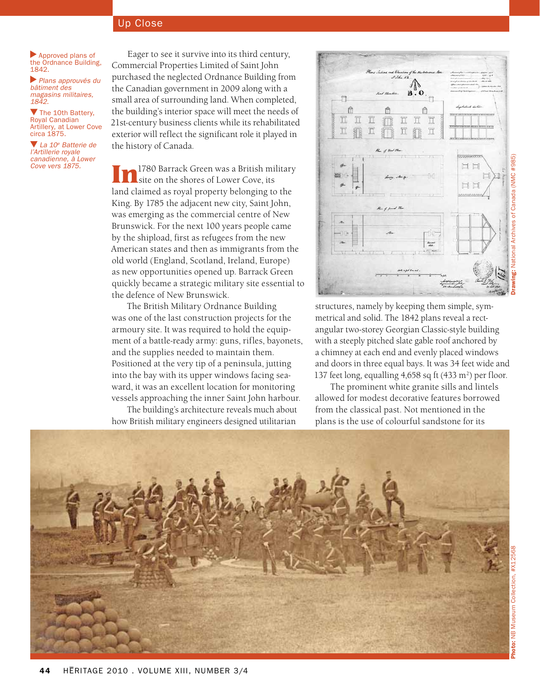Approved plans of the Ordnance Building, 1842.

 *Plans approuvés du bâtiment des magasins militaires, 1842.*

The 10th Battery, Royal Canadian Artillery, at Lower Cove circa 1875.

 *La 10e Batterie de l'Artillerie royale canadienne, à Lower Cove vers 1875.*

Eager to see it survive into its third century, Commercial Properties Limited of Saint John purchased the neglected Ordnance Building from the Canadian government in 2009 along with a small area of surrounding land. When completed, the building's interior space will meet the needs of 21st-century business clients while its rehabilitated exterior will reflect the significant role it played in the history of Canada.

**In**1780 Barrack Green was a British military site on the shores of Lower Cove, its land claimed as royal property belonging to the King. By 1785 the adjacent new city, Saint John, was emerging as the commercial centre of New Brunswick. For the next 100 years people came by the shipload, first as refugees from the new American states and then as immigrants from the old world (England, Scotland, Ireland, Europe) as new opportunities opened up. Barrack Green quickly became a strategic military site essential to the defence of New Brunswick.

The British Military Ordnance Building was one of the last construction projects for the armoury site. It was required to hold the equipment of a battle-ready army: guns, rifles, bayonets, and the supplies needed to maintain them. Positioned at the very tip of a peninsula, jutting into the bay with its upper windows facing seaward, it was an excellent location for monitoring vessels approaching the inner Saint John harbour.

The building's architecture reveals much about how British military engineers designed utilitarian



structures, namely by keeping them simple, symmetrical and solid. The 1842 plans reveal a rectangular two-storey Georgian Classic-style building with a steeply pitched slate gable roof anchored by a chimney at each end and evenly placed windows and doors in three equal bays. It was 34 feet wide and 137 feet long, equalling  $4,658$  sq ft  $(433 \text{ m}^2)$  per floor.

The prominent white granite sills and lintels allowed for modest decorative features borrowed from the classical past. Not mentioned in the plans is the use of colourful sandstone for its

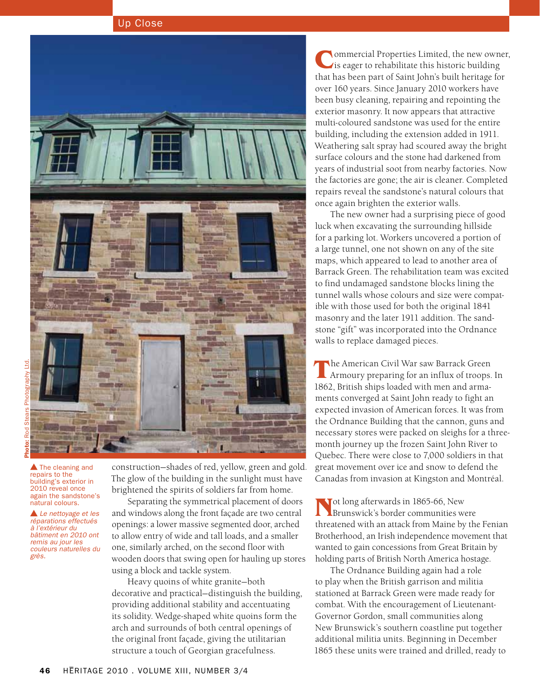

**A** The cleaning and repairs to the building's exterior in 2010 reveal once again the sandstone's natural colours.

*Le nettoyage et les réparations effectués à l'extérieur du bâtiment en 2010 ont remis au jour les couleurs naturelles du grès.*

construction—shades of red, yellow, green and gold. The glow of the building in the sunlight must have brightened the spirits of soldiers far from home.

Separating the symmetrical placement of doors and windows along the front façade are two central openings: a lower massive segmented door, arched to allow entry of wide and tall loads, and a smaller one, similarly arched, on the second floor with wooden doors that swing open for hauling up stores using a block and tackle system.

Heavy quoins of white granite—both decorative and practical—distinguish the building, providing additional stability and accentuating its solidity. Wedge-shaped white quoins form the arch and surrounds of both central openings of the original front façade, giving the utilitarian structure a touch of Georgian gracefulness.

**Commercial Properties Limited, the new owner,** is eager to rehabilitate this historic building that has been part of Saint John's built heritage for over 160 years. Since January 2010 workers have been busy cleaning, repairing and repointing the exterior masonry. It now appears that attractive multi-coloured sandstone was used for the entire building, including the extension added in 1911. Weathering salt spray had scoured away the bright surface colours and the stone had darkened from years of industrial soot from nearby factories. Now the factories are gone; the air is cleaner. Completed repairs reveal the sandstone's natural colours that once again brighten the exterior walls.

The new owner had a surprising piece of good luck when excavating the surrounding hillside for a parking lot. Workers uncovered a portion of a large tunnel, one not shown on any of the site maps, which appeared to lead to another area of Barrack Green. The rehabilitation team was excited to find undamaged sandstone blocks lining the tunnel walls whose colours and size were compatible with those used for both the original 1841 masonry and the later 1911 addition. The sandstone "gift" was incorporated into the Ordnance walls to replace damaged pieces.

**T**he American Civil War saw Barrack Green Armoury preparing for an influx of troops. In 1862, British ships loaded with men and armaments converged at Saint John ready to fight an expected invasion of American forces. It was from the Ordnance Building that the cannon, guns and necessary stores were packed on sleighs for a threemonth journey up the frozen Saint John River to Quebec. There were close to 7,000 soldiers in that great movement over ice and snow to defend the Canadas from invasion at Kingston and Montréal.

**N**ot long afterwards in 1865-66, New Brunswick's border communities were threatened with an attack from Maine by the Fenian Brotherhood, an Irish independence movement that wanted to gain concessions from Great Britain by holding parts of British North America hostage.

The Ordnance Building again had a role to play when the British garrison and militia stationed at Barrack Green were made ready for combat. With the encouragement of Lieutenant-Governor Gordon, small communities along New Brunswick's southern coastline put together additional militia units. Beginning in December 1865 these units were trained and drilled, ready to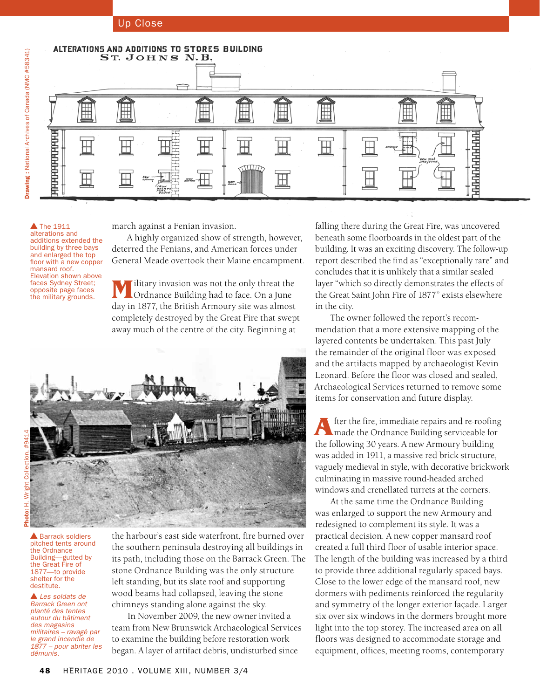

**A** The 1911 alterations and additions extended the building by three bays and enlarged the top floor with a new copper mansard roof. Elevation shown above faces Sydney Street; opposite page faces the military grounds.

march against a Fenian invasion.

A highly organized show of strength, however, deterred the Fenians, and American forces under General Meade overtook their Maine encampment.

**M**ilitary invasion was not the only threat the Ordnance Building had to face. On a June day in 1877, the British Armoury site was almost completely destroyed by the Great Fire that swept away much of the centre of the city. Beginning at



▲ Barrack soldiers pitched tents around the Ordnance Building—gutted by the Great Fire of 1877—to provide shelter for the destitute.

*Les soldats de Barrack Green ont planté des tentes autour du bâtiment des magasins militaires – ravagé par le grand incendie de 1877 – pour abriter les démunis.*

the harbour's east side waterfront, fire burned over the southern peninsula destroying all buildings in its path, including those on the Barrack Green. The stone Ordnance Building was the only structure left standing, but its slate roof and supporting wood beams had collapsed, leaving the stone chimneys standing alone against the sky.

In November 2009, the new owner invited a team from New Brunswick Archaeological Services to examine the building before restoration work began. A layer of artifact debris, undisturbed since

falling there during the Great Fire, was uncovered beneath some floorboards in the oldest part of the building. It was an exciting discovery. The follow-up report described the find as "exceptionally rare" and concludes that it is unlikely that a similar sealed layer "which so directly demonstrates the effects of the Great Saint John Fire of 1877" exists elsewhere in the city.

The owner followed the report's recommendation that a more extensive mapping of the layered contents be undertaken. This past July the remainder of the original floor was exposed and the artifacts mapped by archaeologist Kevin Leonard. Before the floor was closed and sealed, Archaeological Services returned to remove some items for conservation and future display.

After the fire, immediate repairs and re-roofing<br>
made the Ordnance Building serviceable for the following 30 years. A new Armoury building was added in 1911, a massive red brick structure, vaguely medieval in style, with decorative brickwork culminating in massive round-headed arched windows and crenellated turrets at the corners.

At the same time the Ordnance Building was enlarged to support the new Armoury and redesigned to complement its style. It was a practical decision. A new copper mansard roof created a full third floor of usable interior space. The length of the building was increased by a third to provide three additional regularly spaced bays. Close to the lower edge of the mansard roof, new dormers with pediments reinforced the regularity and symmetry of the longer exterior façade. Larger six over six windows in the dormers brought more light into the top storey. The increased area on all floors was designed to accommodate storage and equipment, offices, meeting rooms, contemporary